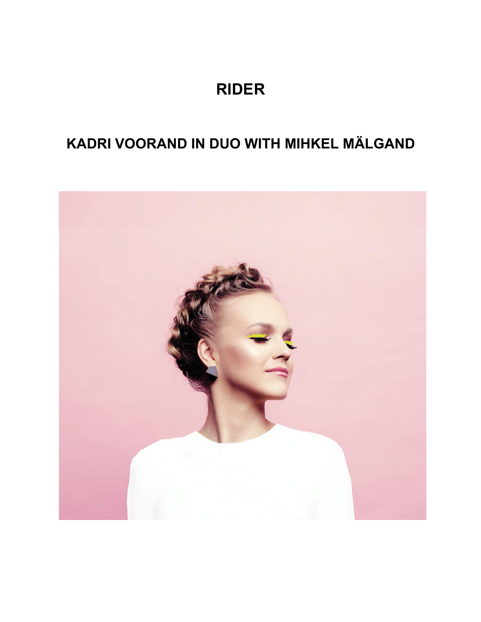# **RIDER**

# **KADRI VOORAND IN DUO WITH MIHKEL MÄLGAND**

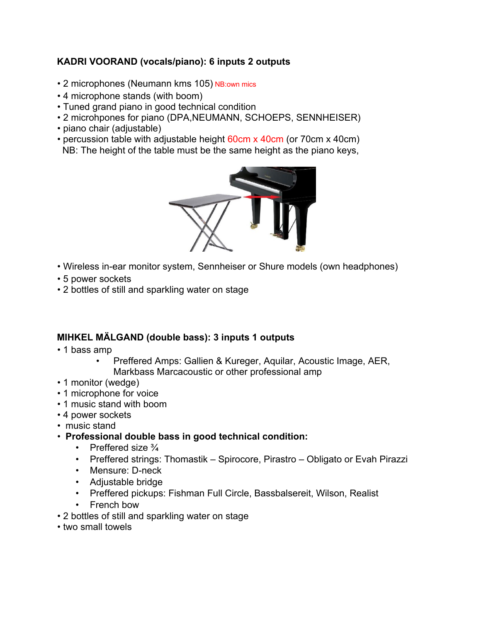# **KADRI VOORAND (vocals/piano): 6 inputs 2 outputs**

- 2 microphones (Neumann kms 105) NB:own mics
- 4 microphone stands (with boom)
- Tuned grand piano in good technical condition
- 2 microhpones for piano (DPA,NEUMANN, SCHOEPS, SENNHEISER)
- piano chair (adjustable)
- percussion table with adjustable height 60cm x 40cm (or 70cm x 40cm)
- NB: The height of the table must be the same height as the piano keys,



- Wireless in-ear monitor system, Sennheiser or Shure models (own headphones)
- 5 power sockets
- 2 bottles of still and sparkling water on stage

## **MIHKEL MÄLGAND (double bass): 3 inputs 1 outputs**

- 1 bass amp
	- Preffered Amps: Gallien & Kureger, Aquilar, Acoustic Image, AER, Markbass Marcacoustic or other professional amp
- 1 monitor (wedge)
- 1 microphone for voice
- 1 music stand with boom
- 4 power sockets
- music stand
- **Professional double bass in good technical condition:**
	- Preffered size 3⁄4
	- Preffered strings: Thomastik Spirocore, Pirastro Obligato or Evah Pirazzi
	- Mensure: D-neck
	- Adjustable bridge
	- Preffered pickups: Fishman Full Circle, Bassbalsereit, Wilson, Realist
	- French bow
- 2 bottles of still and sparkling water on stage
- two small towels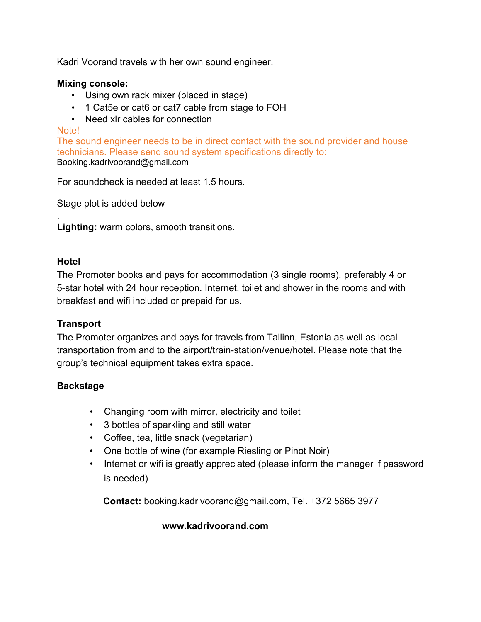Kadri Voorand travels with her own sound engineer.

#### **Mixing console:**

- Using own rack mixer (placed in stage)
- 1 Cat5e or cat6 or cat7 cable from stage to FOH
- Need xlr cables for connection

#### Note!

The sound engineer needs to be in direct contact with the sound provider and house technicians. Please send sound system specifications directly to: Booking.kadrivoorand@gmail.com

For soundcheck is needed at least 1.5 hours.

Stage plot is added below

. **Lighting:** warm colors, smooth transitions.

#### **Hotel**

The Promoter books and pays for accommodation (3 single rooms), preferably 4 or 5-star hotel with 24 hour reception. Internet, toilet and shower in the rooms and with breakfast and wifi included or prepaid for us.

## **Transport**

The Promoter organizes and pays for travels from Tallinn, Estonia as well as local transportation from and to the airport/train-station/venue/hotel. Please note that the group's technical equipment takes extra space.

## **Backstage**

- Changing room with mirror, electricity and toilet
- 3 bottles of sparkling and still water
- Coffee, tea, little snack (vegetarian)
- One bottle of wine (for example Riesling or Pinot Noir)
- Internet or wifi is greatly appreciated (please inform the manager if password is needed)

**Contact:** booking.kadrivoorand@gmail.com, Tel. +372 5665 3977

## **www.kadrivoorand.com**